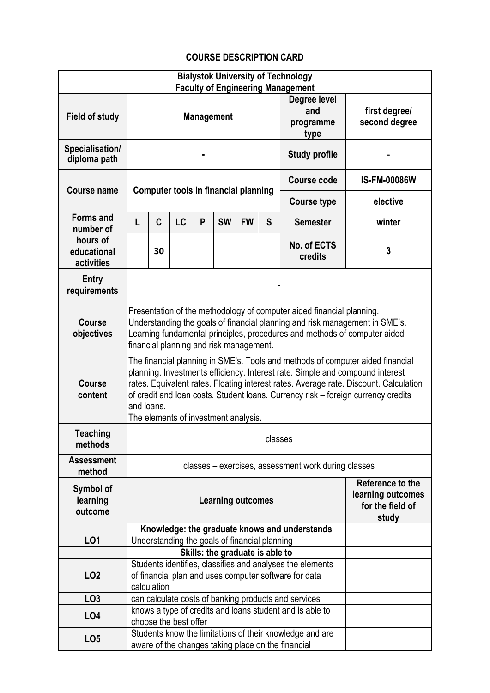## **COURSE DESCRIPTION CARD**

| <b>Bialystok University of Technology</b><br><b>Faculty of Engineering Management</b> |                                                                                                                                                                                                                                                                                                                                                                                                     |                                                                                                                                           |    |   |                                             |           |                    |                                          |                                |
|---------------------------------------------------------------------------------------|-----------------------------------------------------------------------------------------------------------------------------------------------------------------------------------------------------------------------------------------------------------------------------------------------------------------------------------------------------------------------------------------------------|-------------------------------------------------------------------------------------------------------------------------------------------|----|---|---------------------------------------------|-----------|--------------------|------------------------------------------|--------------------------------|
| Field of study                                                                        | <b>Management</b>                                                                                                                                                                                                                                                                                                                                                                                   |                                                                                                                                           |    |   |                                             |           |                    | Degree level<br>and<br>programme<br>type | first degree/<br>second degree |
| Specialisation/<br>diploma path                                                       |                                                                                                                                                                                                                                                                                                                                                                                                     |                                                                                                                                           |    |   |                                             |           |                    | <b>Study profile</b>                     |                                |
|                                                                                       |                                                                                                                                                                                                                                                                                                                                                                                                     |                                                                                                                                           |    |   |                                             |           | <b>Course code</b> | <b>IS-FM-00086W</b>                      |                                |
| <b>Course name</b>                                                                    |                                                                                                                                                                                                                                                                                                                                                                                                     |                                                                                                                                           |    |   | <b>Computer tools in financial planning</b> |           | <b>Course type</b> | elective                                 |                                |
| <b>Forms and</b><br>number of<br>hours of<br>educational<br>activities                | L                                                                                                                                                                                                                                                                                                                                                                                                   | C                                                                                                                                         | LC | P | <b>SW</b>                                   | <b>FW</b> | S                  | <b>Semester</b>                          | winter                         |
|                                                                                       |                                                                                                                                                                                                                                                                                                                                                                                                     | 30                                                                                                                                        |    |   |                                             |           |                    | No. of ECTS<br>credits                   | 3                              |
| <b>Entry</b><br>requirements                                                          |                                                                                                                                                                                                                                                                                                                                                                                                     |                                                                                                                                           |    |   |                                             |           |                    |                                          |                                |
| Course<br>objectives                                                                  | Presentation of the methodology of computer aided financial planning.<br>Understanding the goals of financial planning and risk management in SME's.<br>Learning fundamental principles, procedures and methods of computer aided<br>financial planning and risk management.                                                                                                                        |                                                                                                                                           |    |   |                                             |           |                    |                                          |                                |
| <b>Course</b><br>content                                                              | The financial planning in SME's. Tools and methods of computer aided financial<br>planning. Investments efficiency. Interest rate. Simple and compound interest<br>rates. Equivalent rates. Floating interest rates. Average rate. Discount. Calculation<br>of credit and loan costs. Student loans. Currency risk - foreign currency credits<br>and loans.<br>The elements of investment analysis. |                                                                                                                                           |    |   |                                             |           |                    |                                          |                                |
| <b>Teaching</b><br>methods                                                            | classes                                                                                                                                                                                                                                                                                                                                                                                             |                                                                                                                                           |    |   |                                             |           |                    |                                          |                                |
| <b>Assessment</b><br>method                                                           | classes - exercises, assessment work during classes                                                                                                                                                                                                                                                                                                                                                 |                                                                                                                                           |    |   |                                             |           |                    |                                          |                                |
| Symbol of<br>learning<br>outcome                                                      | Reference to the<br>learning outcomes<br><b>Learning outcomes</b><br>for the field of<br>study                                                                                                                                                                                                                                                                                                      |                                                                                                                                           |    |   |                                             |           |                    |                                          |                                |
|                                                                                       |                                                                                                                                                                                                                                                                                                                                                                                                     | Knowledge: the graduate knows and understands                                                                                             |    |   |                                             |           |                    |                                          |                                |
| L01                                                                                   |                                                                                                                                                                                                                                                                                                                                                                                                     | Understanding the goals of financial planning<br>Skills: the graduate is able to                                                          |    |   |                                             |           |                    |                                          |                                |
|                                                                                       |                                                                                                                                                                                                                                                                                                                                                                                                     |                                                                                                                                           |    |   |                                             |           |                    |                                          |                                |
| LO <sub>2</sub>                                                                       |                                                                                                                                                                                                                                                                                                                                                                                                     | Students identifies, classifies and analyses the elements<br>of financial plan and uses computer software for data<br>calculation         |    |   |                                             |           |                    |                                          |                                |
| LO <sub>3</sub>                                                                       |                                                                                                                                                                                                                                                                                                                                                                                                     |                                                                                                                                           |    |   |                                             |           |                    |                                          |                                |
| LO4                                                                                   |                                                                                                                                                                                                                                                                                                                                                                                                     | can calculate costs of banking products and services<br>knows a type of credits and loans student and is able to<br>choose the best offer |    |   |                                             |           |                    |                                          |                                |
| LO <sub>5</sub>                                                                       | Students know the limitations of their knowledge and are<br>aware of the changes taking place on the financial                                                                                                                                                                                                                                                                                      |                                                                                                                                           |    |   |                                             |           |                    |                                          |                                |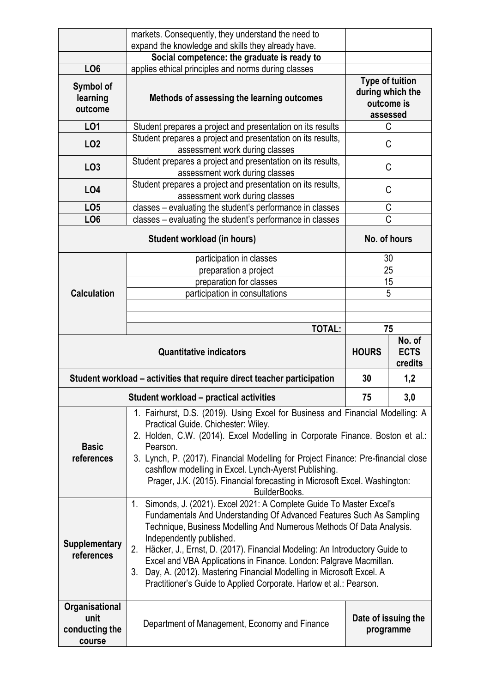|                                                      | markets. Consequently, they understand the need to<br>expand the knowledge and skills they already have.                                                                                                                                                                                                                                                                                                                                                                                                                                                       |                                                                      |                                  |  |  |
|------------------------------------------------------|----------------------------------------------------------------------------------------------------------------------------------------------------------------------------------------------------------------------------------------------------------------------------------------------------------------------------------------------------------------------------------------------------------------------------------------------------------------------------------------------------------------------------------------------------------------|----------------------------------------------------------------------|----------------------------------|--|--|
|                                                      | Social competence: the graduate is ready to                                                                                                                                                                                                                                                                                                                                                                                                                                                                                                                    |                                                                      |                                  |  |  |
| LO <sub>6</sub>                                      | applies ethical principles and norms during classes                                                                                                                                                                                                                                                                                                                                                                                                                                                                                                            |                                                                      |                                  |  |  |
| Symbol of<br>learning<br>outcome                     | Methods of assessing the learning outcomes                                                                                                                                                                                                                                                                                                                                                                                                                                                                                                                     | <b>Type of tuition</b><br>during which the<br>outcome is<br>assessed |                                  |  |  |
| LO1                                                  | Student prepares a project and presentation on its results                                                                                                                                                                                                                                                                                                                                                                                                                                                                                                     | C                                                                    |                                  |  |  |
| LO <sub>2</sub>                                      | Student prepares a project and presentation on its results,<br>C<br>assessment work during classes                                                                                                                                                                                                                                                                                                                                                                                                                                                             |                                                                      |                                  |  |  |
| LO <sub>3</sub>                                      | Student prepares a project and presentation on its results,<br>C<br>assessment work during classes                                                                                                                                                                                                                                                                                                                                                                                                                                                             |                                                                      |                                  |  |  |
| L04                                                  | Student prepares a project and presentation on its results,<br>assessment work during classes                                                                                                                                                                                                                                                                                                                                                                                                                                                                  | C                                                                    |                                  |  |  |
| LO <sub>5</sub>                                      | classes – evaluating the student's performance in classes                                                                                                                                                                                                                                                                                                                                                                                                                                                                                                      | C                                                                    |                                  |  |  |
| LO <sub>6</sub>                                      | classes - evaluating the student's performance in classes                                                                                                                                                                                                                                                                                                                                                                                                                                                                                                      | Ć                                                                    |                                  |  |  |
|                                                      | No. of hours                                                                                                                                                                                                                                                                                                                                                                                                                                                                                                                                                   |                                                                      |                                  |  |  |
|                                                      | participation in classes                                                                                                                                                                                                                                                                                                                                                                                                                                                                                                                                       | 30                                                                   |                                  |  |  |
|                                                      | preparation a project                                                                                                                                                                                                                                                                                                                                                                                                                                                                                                                                          | 25                                                                   |                                  |  |  |
|                                                      | preparation for classes                                                                                                                                                                                                                                                                                                                                                                                                                                                                                                                                        | 15                                                                   |                                  |  |  |
| <b>Calculation</b>                                   | participation in consultations                                                                                                                                                                                                                                                                                                                                                                                                                                                                                                                                 | 5                                                                    |                                  |  |  |
|                                                      |                                                                                                                                                                                                                                                                                                                                                                                                                                                                                                                                                                |                                                                      |                                  |  |  |
|                                                      |                                                                                                                                                                                                                                                                                                                                                                                                                                                                                                                                                                | 75                                                                   |                                  |  |  |
|                                                      | <b>TOTAL:</b>                                                                                                                                                                                                                                                                                                                                                                                                                                                                                                                                                  |                                                                      |                                  |  |  |
|                                                      |                                                                                                                                                                                                                                                                                                                                                                                                                                                                                                                                                                |                                                                      |                                  |  |  |
|                                                      | <b>Quantitative indicators</b>                                                                                                                                                                                                                                                                                                                                                                                                                                                                                                                                 | <b>HOURS</b>                                                         | No. of<br><b>ECTS</b><br>credits |  |  |
|                                                      | Student workload - activities that require direct teacher participation                                                                                                                                                                                                                                                                                                                                                                                                                                                                                        | 30                                                                   | 1,2                              |  |  |
|                                                      | Student workload - practical activities                                                                                                                                                                                                                                                                                                                                                                                                                                                                                                                        | 75                                                                   | 3,0                              |  |  |
| <b>Basic</b><br>references                           | 1. Fairhurst, D.S. (2019). Using Excel for Business and Financial Modelling: A<br>Practical Guide. Chichester: Wiley.<br>2. Holden, C.W. (2014). Excel Modelling in Corporate Finance. Boston et al.:<br>Pearson.<br>3. Lynch, P. (2017). Financial Modelling for Project Finance: Pre-financial close<br>cashflow modelling in Excel. Lynch-Ayerst Publishing.<br>Prager, J.K. (2015). Financial forecasting in Microsoft Excel. Washington:<br>BuilderBooks.                                                                                                 |                                                                      |                                  |  |  |
| <b>Supplementary</b><br>references<br>Organisational | 1. Simonds, J. (2021). Excel 2021: A Complete Guide To Master Excel's<br>Fundamentals And Understanding Of Advanced Features Such As Sampling<br>Technique, Business Modelling And Numerous Methods Of Data Analysis.<br>Independently published.<br>Häcker, J., Ernst, D. (2017). Financial Modeling: An Introductory Guide to<br>2.<br>Excel and VBA Applications in Finance. London: Palgrave Macmillan.<br>Day, A. (2012). Mastering Financial Modelling in Microsoft Excel. A<br>3.<br>Practitioner's Guide to Applied Corporate. Harlow et al.: Pearson. |                                                                      |                                  |  |  |